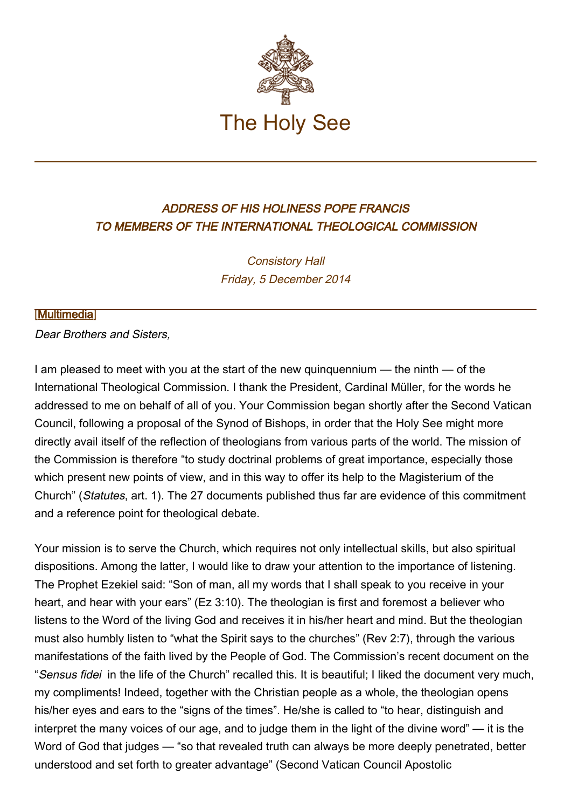

## ADDRESS OF HIS HOLINESS POPE FRANCIS TO MEMBERS OF THE INTERNATIONAL THEOLOGICAL COMMISSION

Consistory Hall Friday, 5 December 2014

## [\[Multimedia](http://w2.vatican.va/content/francesco/en/events/event.dir.html/content/vaticanevents/en/2014/12/5/commteologica.html)]

Dear Brothers and Sisters,

I am pleased to meet with you at the start of the new quinquennium — the ninth — of the International Theological Commission. I thank the President, Cardinal Müller, for the words he addressed to me on behalf of all of you. Your Commission began shortly after the Second Vatican Council, following a proposal of the Synod of Bishops, in order that the Holy See might more directly avail itself of the reflection of theologians from various parts of the world. The mission of the Commission is therefore "to study doctrinal problems of great importance, especially those which present new points of view, and in this way to offer its help to the Magisterium of the Church" (Statutes, art. 1). The 27 documents published thus far are evidence of this commitment and a reference point for theological debate.

Your mission is to serve the Church, which requires not only intellectual skills, but also spiritual dispositions. Among the latter, I would like to draw your attention to the importance of listening. The Prophet Ezekiel said: "Son of man, all my words that I shall speak to you receive in your heart, and hear with your ears" (Ez 3:10). The theologian is first and foremost a believer who listens to the Word of the living God and receives it in his/her heart and mind. But the theologian must also humbly listen to "what the Spirit says to the churches" (Rev 2:7), through the various manifestations of the faith lived by the People of God. The Commission's recent document on the "Sensus fidei in the life of the Church" recalled this. It is beautiful; I liked the document very much, my compliments! Indeed, together with the Christian people as a whole, the theologian opens his/her eyes and ears to the "signs of the times". He/she is called to "to hear, distinguish and interpret the many voices of our age, and to judge them in the light of the divine word" — it is the Word of God that judges — "so that revealed truth can always be more deeply penetrated, better understood and set forth to greater advantage" (Second Vatican Council Apostolic